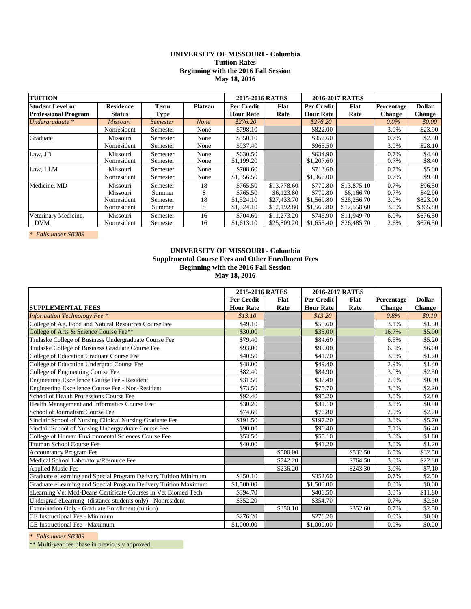# **UNIVERSITY OF MISSOURI - Columbia Tuition Rates Beginning with the 2016 Fall Session May 18, 2016**

| <b>TUITION</b>              |                  |                 |                | 2015-2016 RATES  |             |                  | 2016-2017 RATES |               |               |
|-----------------------------|------------------|-----------------|----------------|------------------|-------------|------------------|-----------------|---------------|---------------|
| <b>Student Level or</b>     | <b>Residence</b> | <b>Term</b>     | <b>Plateau</b> | Per Credit       | Flat        | Per Credit       | Flat            | Percentage    | <b>Dollar</b> |
| <b>Professional Program</b> | <b>Status</b>    | Type            |                | <b>Hour Rate</b> | Rate        | <b>Hour Rate</b> | Rate            | <b>Change</b> | <b>Change</b> |
| Undergraduate *             | Missouri         | <b>Semester</b> | <b>None</b>    | \$276.20         |             | \$276.20         |                 | $0.0\%$       | \$0.00        |
|                             | Nonresident      | Semester        | None           | \$798.10         |             | \$822.00         |                 | 3.0%          | \$23.90       |
| Graduate                    | Missouri         | Semester        | None           | \$350.10         |             | \$352.60         |                 | 0.7%          | \$2.50        |
|                             | Nonresident      | Semester        | None           | \$937.40         |             | \$965.50         |                 | 3.0%          | \$28.10       |
| Law, JD                     | Missouri         | Semester        | None           | \$630.50         |             | \$634.90         |                 | 0.7%          | \$4.40        |
|                             | Nonresident      | Semester        | None           | \$1,199.20       |             | \$1,207.60       |                 | 0.7%          | \$8.40        |
| Law, LLM                    | Missouri         | Semester        | None           | \$708.60         |             | \$713.60         |                 | 0.7%          | \$5.00        |
|                             | Nonresident      | Semester        | None           | \$1,356.50       |             | \$1,366.00       |                 | 0.7%          | \$9.50        |
| Medicine, MD                | Missouri         | Semester        | 18             | \$765.50         | \$13,778.60 | \$770.80         | \$13,875.10     | 0.7%          | \$96.50       |
|                             | Missouri         | Summer          | 8              | \$765.50         | \$6,123.80  | \$770.80         | \$6,166.70      | 0.7%          | \$42.90       |
|                             | Nonresident      | Semester        | 18             | \$1,524.10       | \$27,433.70 | \$1,569.80       | \$28,256.70     | 3.0%          | \$823.00      |
|                             | Nonresident      | Summer          | 8              | \$1,524.10       | \$12,192.80 | \$1,569.80       | \$12,558.60     | 3.0%          | \$365.80      |
| Veterinary Medicine,        | Missouri         | Semester        | 16             | \$704.60         | \$11,273.20 | \$746.90         | \$11,949.70     | 6.0%          | \$676.50      |
| <b>DVM</b>                  | Nonresident      | Semester        | 16             | \$1,613.10       | \$25,809.20 | \$1,655.40       | \$26,485.70     | 2.6%          | \$676.50      |

*\* Falls under SB389* 

# **UNIVERSITY OF MISSOURI - Columbia Supplemental Course Fees and Other Enrollment Fees Beginning with the 2016 Fall Session May 18, 2016**

|                                                                 | 2015-2016 RATES      |          |                        | 2016-2017 RATES |               |               |  |
|-----------------------------------------------------------------|----------------------|----------|------------------------|-----------------|---------------|---------------|--|
|                                                                 | Per Credit           | Flat     | Per Credit             | Flat            | Percentage    | <b>Dollar</b> |  |
| <b>SUPPLEMENTAL FEES</b>                                        | <b>Hour Rate</b>     | Rate     | <b>Hour Rate</b>       | Rate            | <b>Change</b> | <b>Change</b> |  |
| <b>Information Technology Fee *</b>                             | \$13.10              |          | \$13.20                |                 | 0.8%          | \$0.10\$      |  |
| College of Ag, Food and Natural Resources Course Fee            | \$49.10              |          | \$50.60                |                 | 3.1%          | \$1.50        |  |
| College of Arts & Science Course Fee**                          | \$30.00              |          | \$35.00                |                 | 16.7%         | \$5.00        |  |
| Trulaske College of Business Undergraduate Course Fee           | \$79.40              |          | \$84.60                |                 | 6.5%          | \$5.20        |  |
| Trulaske College of Business Graduate Course Fee                | \$93.00              |          | \$99.00                |                 | 6.5%          | \$6.00        |  |
| College of Education Graduate Course Fee                        | \$40.50              |          | \$41.70                |                 | 3.0%          | \$1.20        |  |
| College of Education Undergrad Course Fee                       | \$48.00              |          | \$49.40                |                 | 2.9%          | \$1.40        |  |
| College of Engineering Course Fee                               | \$82.40              |          | \$84.90                |                 | 3.0%          | \$2.50        |  |
| Engineering Excellence Course Fee - Resident                    | \$31.50              |          | \$32.40                |                 | 2.9%          | \$0.90        |  |
| Engineering Excellence Course Fee - Non-Resident                | \$73.50              |          | \$75.70                |                 | 3.0%          | \$2.20        |  |
| School of Health Professions Course Fee                         | \$92.40              |          | \$95.20                |                 | 3.0%          | \$2.80        |  |
| Health Management and Informatics Course Fee                    | \$30.20              |          | \$31.10                |                 | 3.0%          | \$0.90        |  |
| School of Journalism Course Fee                                 | \$74.60              |          | \$76.80                |                 | 2.9%          | \$2.20        |  |
| Sinclair School of Nursing Clinical Nursing Graduate Fee        | \$191.50             |          | \$197.20               |                 | 3.0%          | \$5.70        |  |
| Sinclair School of Nursing Undergraduate Course Fee             | \$90.00              |          | \$96.40                |                 | 7.1%          | \$6.40        |  |
| College of Human Environmental Sciences Course Fee              | \$53.50              |          | \$55.10                |                 | 3.0%          | \$1.60        |  |
| Truman School Course Fee                                        | \$40.00              |          | \$41.20                |                 | 3.0%          | \$1.20        |  |
| <b>Accountancy Program Fee</b>                                  |                      | \$500.00 |                        | \$532.50        | 6.5%          | \$32.50       |  |
| Medical School Laboratory/Resource Fee                          |                      | \$742.20 |                        | \$764.50        | 3.0%          | \$22.30       |  |
| Applied Music Fee                                               |                      | \$236.20 |                        | \$243.30        | 3.0%          | \$7.10        |  |
| Graduate eLearning and Special Program Delivery Tuition Minimum | $\overline{$}350.10$ |          | \$352.60               |                 | 0.7%          | \$2.50        |  |
| Graduate eLearning and Special Program Delivery Tuition Maximum | \$1,500.00           |          | \$1,500.00             |                 | 0.0%          | \$0.00        |  |
| eLearning Vet Med-Deans Certificate Courses in Vet Biomed Tech  | \$394.70             |          | \$406.50               |                 | 3.0%          | \$11.80       |  |
| Undergrad eLearning (distance students only) - Nonresident      | \$352.20             |          | \$354.70               |                 | 0.7%          | \$2.50        |  |
| Examination Only - Graduate Enrollment (tuition)                |                      | \$350.10 |                        | \$352.60        | 0.7%          | \$2.50        |  |
| CE Instructional Fee - Minimum                                  | \$276.20             |          | \$276.20               |                 | 0.0%          | \$0.00        |  |
| CE Instructional Fee - Maximum                                  | \$1,000.00           |          | $\overline{$1,000.00}$ |                 | 0.0%          | \$0.00        |  |

*\* Falls under SB389* 

\*\* Multi-year fee phase in previously approved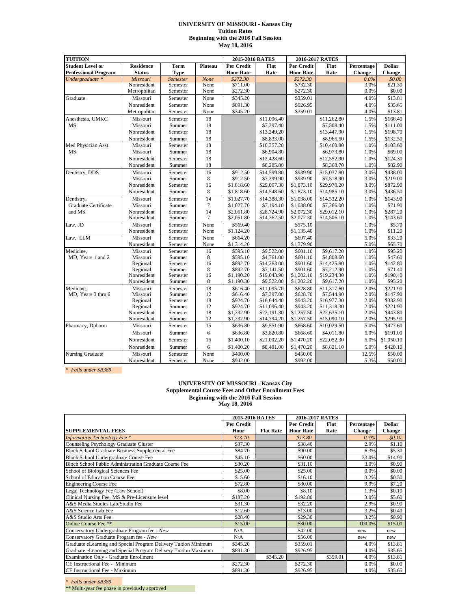### **UNIVERSITY OF MISSOURI - Kansas City Tuition Rates Beginning with the 2016 Fall Session May 18, 2016**

| <b>TUITION</b>              |                            | 2015-2016 RATES    |                | 2016-2017 RATES          |                           |                          |                           |               |                     |
|-----------------------------|----------------------------|--------------------|----------------|--------------------------|---------------------------|--------------------------|---------------------------|---------------|---------------------|
| <b>Student Level or</b>     | <b>Residence</b>           | Term               | Plateau        | Per Credit               | Flat                      | Per Credit               | Flat                      | Percentage    | <b>Dollar</b>       |
| <b>Professional Program</b> | <b>Status</b>              | <b>Type</b>        |                | <b>Hour Rate</b>         | Rate                      | <b>Hour Rate</b>         | Rate                      | <b>Change</b> | <b>Change</b>       |
| Undergraduate *             | Missouri                   | Semester           | None           | \$272.30                 |                           | \$272.30                 |                           | $0.0\%$       | \$0.00              |
|                             | Nonresident                | Semester           | None           | \$711.00                 |                           | \$732.30                 |                           | 3.0%          | \$21.30             |
|                             | Metropolitan               | Semester           | None           | \$272.30                 |                           | \$272.30                 |                           | 0.0%          | \$0.00              |
| Graduate                    | Missouri                   | Semester           | None           | \$345.20                 |                           | \$359.01                 |                           | 4.0%          | \$13.81             |
|                             | Nonresident                | Semester           | None           | \$891.30                 |                           | \$926.95                 |                           | 4.0%          | \$35.65             |
|                             | Metropolitan               | Semester           | None           | \$345.20                 |                           | \$359.01                 |                           | 4.0%          | \$13.81             |
| Anesthesia, UMKC            | Missouri                   | Semester           | 18             |                          | \$11,096.40               |                          | \$11,262.80               | 1.5%          | \$166.40            |
| <b>MS</b>                   | Missouri                   | Summer             | 18             |                          | \$7,397.40                |                          | \$7,508.40                | 1.5%          | \$111.00            |
|                             | Nonresident                | Semester           | 18             |                          | \$13,249.20               |                          | \$13,447.90               | 1.5%          | \$198.70            |
|                             | Nonresident                | Summer             | 18             |                          | \$8,833.00                |                          | \$8,965.50                | 1.5%          | \$132.50            |
| Med Physician Asst          | Missouri                   | Semester           | 18             |                          | \$10,357.20               |                          | \$10,460.80               | 1.0%          | \$103.60            |
| MS                          | Missouri                   | Summer             | 18             |                          | \$6,904.80                |                          | \$6,973.80                | 1.0%          | \$69.00             |
|                             | Nonresident                | Semester           | 18             |                          | \$12,428.60               |                          | \$12,552.90               | 1.0%          | \$124.30            |
|                             | Nonresident                | Summer             | 18             |                          | \$8,285.80                |                          | \$8,368.70                | 1.0%          | \$82.90             |
| Dentistry, DDS              | Missouri                   | Semester           | 16             | \$912.50                 | \$14,599.80               | \$939.90                 | \$15,037.80               | 3.0%          | \$438.00            |
|                             | Missouri                   | Summer             | $\,$ 8 $\,$    | \$912.50                 | \$7,299.90                | \$939.90                 | \$7,518.90                | 3.0%          | \$219.00            |
|                             | Nonresident                | Semester           | 16             | \$1,818.60               | \$29,097.30               | \$1,873.10               | \$29,970.20               | 3.0%          | \$872.90            |
|                             | Nonresident                | Summer             | 8              | \$1,818.60               | \$14,548.60               | \$1,873.10               | \$14,985.10               | 3.0%          | \$436.50            |
| Dentistry,                  | Missouri                   | Semester           | 14             | \$1,027.70               | \$14,388.30               | \$1,038.00               | \$14,532.20               | 1.0%          | \$143.90            |
| Graduate Certificate        | Missouri                   | Summer             | $\overline{7}$ | \$1,027.70               | \$7,194.10                | \$1,038.00               | \$7,266.00                | 1.0%          | \$71.90             |
| and MS                      | Nonresident                | Semester           | 14             | \$2,051.80               | \$28,724.90               | \$2,072.30               | \$29,012.10               | 1.0%          | \$287.20            |
|                             | Nonresident                | Summer             | $\overline{7}$ | \$2,051.80               | \$14,362.50               | \$2,072.30               | \$14,506.10               | 1.0%          | \$143.60            |
| Law, JD                     | Missouri                   | Semester           | None           | \$569.40                 |                           | \$575.10                 |                           | 1.0%          | \$5.70              |
|                             | Nonresident                | Semester           | None           | \$1,124.20               |                           | \$1,135.40               |                           | 1.0%          | \$11.20             |
| Law, LLM                    | Missouri                   | Semester           | None           | \$664.20                 |                           | \$697.40                 |                           | 5.0%          | \$33.20             |
|                             | Nonresident                | Semester           | None           | \$1,314.20               |                           | \$1,379.90               |                           | 5.0%          | \$65.70             |
| Medicine.                   | Missouri                   | Semester           | 16             | \$595.10                 | $\overline{$9,522.00}$    | \$601.10                 | \$9,617.20                | 1.0%          | \$95.20             |
| MD, Years 1 and 2           | Missouri                   | Summer             | 8              | \$595.10                 | \$4,761.00                | \$601.10                 | \$4,808.60                | 1.0%          | \$47.60             |
|                             | Regional                   | Semester           | 16             | \$892.70                 | \$14,283.00               | \$901.60                 | \$14,425.80               | 1.0%          | \$142.80            |
|                             | Regional                   | Summer             | 8              | \$892.70                 | \$7,141.50                | \$901.60                 | \$7,212.90                | 1.0%          | \$71.40<br>\$190.40 |
|                             | Nonresident<br>Nonresident | Semester<br>Summer | 16<br>8        | \$1,190.20<br>\$1,190.30 | \$19,043.90<br>\$9,522.00 | \$1,202.10<br>\$1,202.20 | \$19,234.30<br>\$9,617.20 | 1.0%<br>1.0%  | \$95.20             |
| Medicine.                   | Missouri                   | Semester           | 18             | \$616.40                 | \$11,095.70               | \$628.80                 | \$11,317.60               | 2.0%          | \$221.90            |
| MD, Years 3 thru 6          | Missouri                   | Summer             | 12             | \$616.40                 | \$7,397.00                | \$628.70                 | \$7,544.90                | 2.0%          | \$147.90            |
|                             | Regional                   | Semester           | 18             | \$924.70                 | \$16,644.40               | \$943.20                 | \$16,977.30               | 2.0%          | \$332.90            |
|                             | Regional                   | Summer             | 12             | \$924.70                 | \$11,096.40               | \$943.20                 | \$11,318.30               | 2.0%          | \$221.90            |
|                             | Nonresident                | Semester           | 18             | \$1,232.90               | \$22,191.30               | \$1,257.50               | \$22,635.10               | 2.0%          | \$443.80            |
|                             | Nonresident                | Summer             | 12             | \$1,232.90               | \$14,794.20               | \$1,257.50               | \$15,090.10               | 2.0%          | \$295.90            |
| Pharmacy, Dpharm            | Missouri                   | Semester           | 15             | \$636.80                 | \$9,551.90                | \$668.60                 | \$10,029.50               | 5.0%          | \$477.60            |
|                             | Missouri                   | Summer             | 6              | \$636.80                 | \$3,820.80                | \$668.60                 | \$4,011.80                | 5.0%          | \$191.00            |
|                             | Nonresident                | Semester           | 15             | \$1,400.10               | \$21,002.20               | \$1,470.20               | \$22,052.30               | 5.0%          | \$1,050.10          |
|                             | Nonresident                | Summer             | 6              | \$1,400.20               | \$8,401.00                | \$1,470.20               | \$8,821.10                | 5.0%          | \$420.10            |
| Nursing Graduate            | Missouri                   | Semester           | None           | \$400.00                 |                           | \$450.00                 |                           | 12.5%         | \$50.00             |
|                             | Nonresident                | Semester           | None           | \$942.00                 |                           | \$992.00                 |                           | 5.3%          | \$50.00             |

*\* Falls under SB389* 

#### **May 18, 2016 UNIVERSITY OF MISSOURI - Kansas City Supplemental Course Fees and Other Enrollment Fees Beginning with the 2016 Fall Session**

|                                                                 | 2015-2016 RATES |                  |                  | 2016-2017 RATES |               |               |
|-----------------------------------------------------------------|-----------------|------------------|------------------|-----------------|---------------|---------------|
|                                                                 | Per Credit      |                  | Per Credit       | Flat            | Percentage    | <b>Dollar</b> |
| <b>SUPPLEMENTAL FEES</b>                                        | Hour            | <b>Flat Rate</b> | <b>Hour Rate</b> | Rate            | <b>Change</b> | <b>Change</b> |
| <b>Information Technology Fee</b> *                             | \$13.70         |                  | \$13.80          |                 | 0.7%          | \$0.10\$      |
| Counseling Psychology Graduate Cluster                          | \$37.30         |                  | \$38.40          |                 | 2.9%          | \$1.10        |
| Bloch School Graduate Business Supplemental Fee                 | \$84.70         |                  | \$90.00          |                 | 6.3%          | \$5.30        |
| Bloch School Undergraduate Course Fee                           | \$45.10         |                  | \$60.00          |                 | 33.0%         | \$14.90       |
| Bloch School Public Administration Graduate Course Fee          | \$30.20         |                  | \$31.10          |                 | 3.0%          | \$0.90        |
| School of Biological Sciences Fee                               | \$25.00         |                  | \$25.00          |                 | 0.0%          | \$0.00        |
| School of Education Course Fee                                  | \$15.60         |                  | \$16.10          |                 | 3.2%          | \$0.50        |
| <b>Engineering Course Fee</b>                                   | \$72.80         |                  | \$80.00          |                 | 9.9%          | \$7.20        |
| Legal Technology Fee (Law School)                               | \$8.00          |                  | \$8.10           |                 | 1.3%          | \$0.10        |
| Clinical Nursing Fee, MS & Pre-Licensure level                  | \$187.20        |                  | \$192.80         |                 | 3.0%          | \$5.60        |
| A&S Media Studies Lab/Studio Fee                                | \$31.30         |                  | \$32.20          |                 | 2.9%          | \$0.90        |
| A&S Science Lab Fee                                             | \$12.60         |                  | \$13.00          |                 | 3.2%          | \$0.40        |
| A&S Studio Arts Fee                                             | \$28.40         |                  | \$29.30          |                 | 3.2%          | \$0.90        |
| Online Course Fee **                                            | \$15.00         |                  | \$30.00          |                 | 100.0%        | \$15.00       |
| Conservatory Undergraduate Program fee - New                    | N/A             |                  | \$42.00          |                 | new           | new           |
| Conservatory Graduate Program fee - New                         | N/A             |                  | \$56.00          |                 | new           | new           |
| Graduate eLearning and Special Program Delivery Tuition Minimum | \$345.20        |                  | \$359.01         |                 | 4.0%          | \$13.81       |
| Graduate eLearning and Special Program Delivery Tuition Maximum | \$891.30        |                  | \$926.95         |                 | 4.0%          | \$35.65       |
| Examination Only - Graduate Enrollment                          |                 | \$345.20         |                  | \$359.01        | 4.0%          | \$13.81       |
| CE Instructional Fee - Minimum                                  | \$272.30        |                  | \$272.30         |                 | 0.0%          | \$0.00        |
| CE Instructional Fee - Maximum                                  | \$891.30        |                  | \$926.95         |                 | 4.0%          | \$35.65       |

*\* Falls under SB389* 

\*\* Multi-year fee phase in previously approved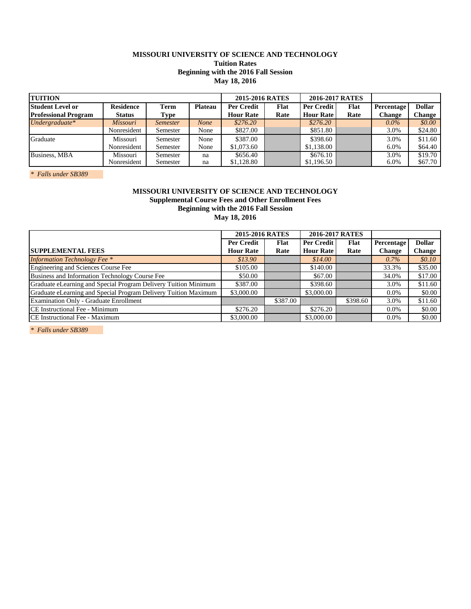# **MISSOURI UNIVERSITY OF SCIENCE AND TECHNOLOGY Tuition Rates Beginning with the 2016 Fall Session May 18, 2016**

| <b>TUITION</b>              |                  |                 |                | 2015-2016 RATES   |      | 2016-2017 RATES  |      |            |               |
|-----------------------------|------------------|-----------------|----------------|-------------------|------|------------------|------|------------|---------------|
| <b>Student Level or</b>     | <b>Residence</b> | <b>Term</b>     | <b>Plateau</b> | <b>Per Credit</b> | Flat | Per Credit       | Flat | Percentage | <b>Dollar</b> |
| <b>Professional Program</b> | <b>Status</b>    | Type            |                | <b>Hour Rate</b>  | Rate | <b>Hour Rate</b> | Rate | Change     | Change        |
| $Under graduate*$           | Missouri         | <i>Semester</i> | <b>None</b>    | \$276.20          |      | \$276.20         |      | $0.0\%$    | \$0.00        |
|                             | Nonresident      | Semester        | None           | \$827.00          |      | \$851.80         |      | 3.0%       | \$24.80       |
| Graduate                    | Missouri         | Semester        | None           | \$387.00          |      | \$398.60         |      | 3.0%       | \$11.60       |
|                             | Nonresident      | Semester        | None           | \$1,073.60        |      | \$1,138.00       |      | 6.0%       | \$64.40       |
| Business, MBA               | Missouri         | Semester        | na             | \$656.40          |      | \$676.10         |      | 3.0%       | \$19.70       |
|                             | Nonresident      | Semester        | na             | \$1,128.80        |      | \$1,196.50       |      | 6.0%       | \$67.70       |

*\* Falls under SB389* 

# **Beginning with the 2016 Fall Session Supplemental Course Fees and Other Enrollment Fees MISSOURI UNIVERSITY OF SCIENCE AND TECHNOLOGY May 18, 2016**

|                                                                 | 2015-2016 RATES   |          | 2016-2017 RATES  |             |               |               |
|-----------------------------------------------------------------|-------------------|----------|------------------|-------------|---------------|---------------|
|                                                                 | <b>Per Credit</b> | Flat     | Per Credit       | <b>Flat</b> | Percentage    | <b>Dollar</b> |
| <b>SUPPLEMENTAL FEES</b>                                        | <b>Hour Rate</b>  | Rate     | <b>Hour Rate</b> | Rate        | <b>Change</b> | <b>Change</b> |
| <b>Information Technology Fee</b> *                             | \$13.90           |          | \$14.00          |             | $0.7\%$       | \$0.10\$      |
| Engineering and Sciences Course Fee                             | \$105.00          |          | \$140.00         |             | 33.3%         | \$35.00       |
| Business and Information Technology Course Fee                  | \$50.00           |          | \$67.00          |             | 34.0%         | \$17.00       |
| Graduate eLearning and Special Program Delivery Tuition Minimum | \$387.00          |          | \$398.60         |             | 3.0%          | \$11.60       |
| Graduate eLearning and Special Program Delivery Tuition Maximum | \$3,000.00        |          | \$3,000.00       |             | $0.0\%$       | \$0.00        |
| <b>Examination Only - Graduate Enrollment</b>                   |                   | \$387.00 |                  | \$398.60    | 3.0%          | \$11.60       |
| CE Instructional Fee - Minimum                                  | \$276.20          |          | \$276.20         |             | 0.0%          | \$0.00        |
| CE Instructional Fee - Maximum                                  | \$3,000.00        |          | \$3,000.00       |             | $0.0\%$       | \$0.00        |

*\* Falls under SB389*